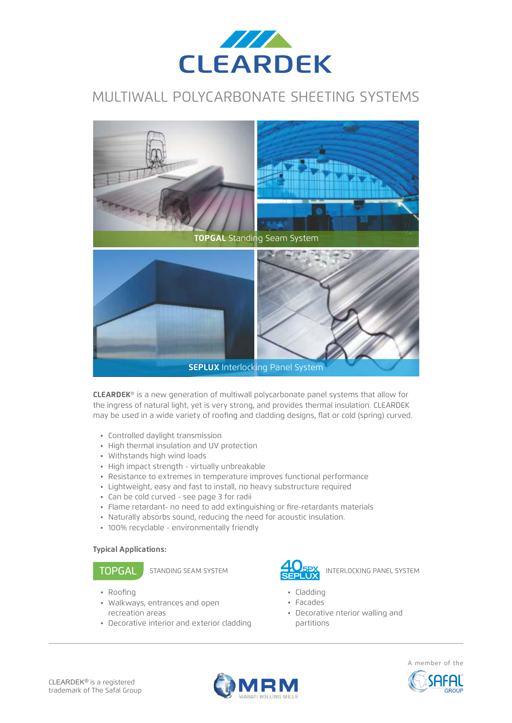

### MULTIWALL POLYCARBONATE SHEETING SYSTEMS



**CLEARDEK**® is a new generation of multiwall polycarbonate panel systems that allow for the ingress of natural light, yet is very strong, and provides thermal insulation. CLEARDEK may be used in a wide variety of roofing and cladding designs, flat or cold (spring) curved.

- Controlled daylight transmission
- High thermal insulation and UV protection
- Withstands high wind loads
- High impact strength virtually unbreakable
- Resistance to extremes in temperature improves functional performance
- Lightweight, easy and fast to install, no heavy substructure required
- Can be cold curved see page 3 for radii
- Flame retardant- no need to add extinguishing or fire-retardants materials
- Naturally absorbs sound, reducing the need for acoustic insulation.
- 100% recyclable environmentally friendly

### **Typical Applications:**

- $\cdot$  Roofing
- Walkways, entrances and open recreation areas
- Decorative interior and exterior cladding



- $\cdot$  Cladding
- Facades
- Decorative nterior walling and partitions





A member of the

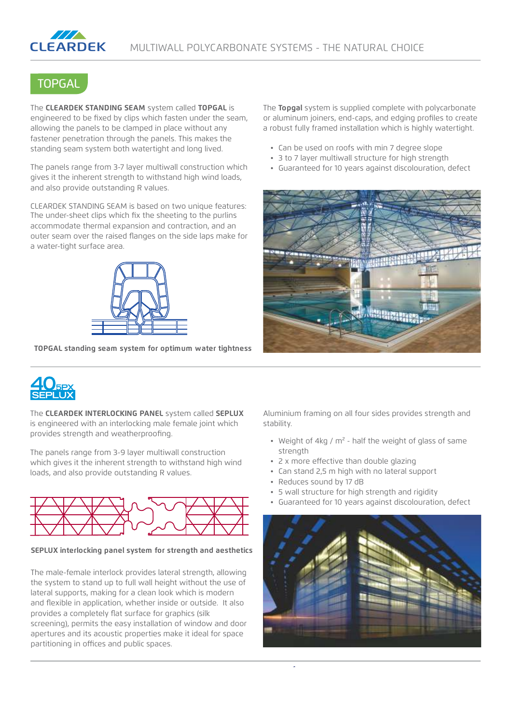

## **TOPGAL**

The **CLEARDEK STANDING SEAM** system called **TOPGAL** is engineered to be fixed by clips which fasten under the seam, allowing the panels to be clamped in place without any fastener penetration through the panels. This makes the standing seam system both watertight and long lived.

The panels range from 3-7 layer multiwall construction which gives it the inherent strength to withstand high wind loads, and also provide outstanding R values.

CLEARDEK STANDING SEAM is based on two unique features: The under-sheet clips which fix the sheeting to the purlins accommodate thermal expansion and contraction, and an outer seam over the raised flanges on the side laps make for a water-tight surface area.



**TOPGAL standing seam system for optimum water tightness**

The **Topgal** system is supplied complete with polycarbonate or aluminum joiners, end-caps, and edging profiles to create a robust fully framed installation which is highly watertight.

- Can be used on roofs with min 7 degree slope
- 3 to 7 layer multiwall structure for high strength
- Guaranteed for 10 years against discolouration, defect





The **CLEARDEK INTERLOCKING PANEL** system called **SEPLUX** is engineered with an interlocking male female joint which provides strength and weatherproofing.

The panels range from 3-9 layer multiwall construction which gives it the inherent strength to withstand high wind loads, and also provide outstanding R values.



**SEPLUX interlocking panel system for strength and aesthetics**

The male-female interlock provides lateral strength, allowing the system to stand up to full wall height without the use of lateral supports, making for a clean look which is modern and flexible in application, whether inside or outside. It also provides a completely flat surface for graphics (silk screening), permits the easy installation of window and door apertures and its acoustic properties make it ideal for space partitioning in offices and public spaces.

Aluminium framing on all four sides provides strength and stability.

- Weight of 4kg /  $m^2$  half the weight of glass of same strength
- 2 x more effective than double glazing
- Can stand 2,5 m high with no lateral support
- Reduces sound by 17 dB
- 5 wall structure for high strength and rigidity
- Guaranteed for 10 years against discolouration, defect

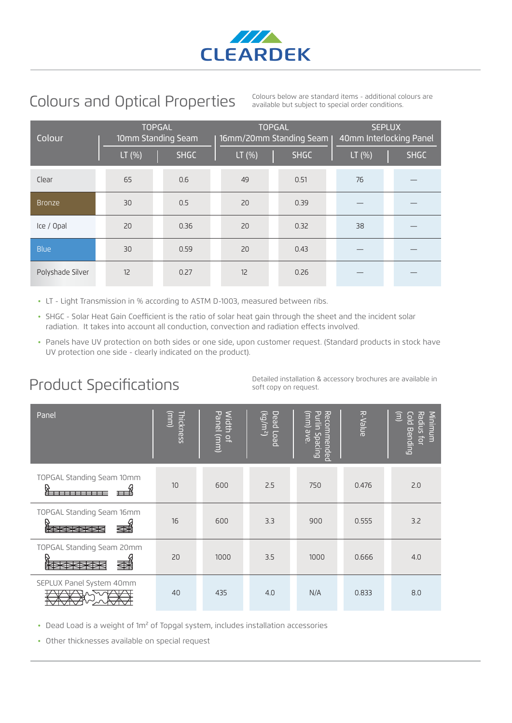

# Colours and Optical Properties

Colours below are standard items - additional colours are available but subject to special order conditions.

| Colour           |  | <b>TOPGAL</b><br>10mm Standing Seam |  |             |  | <b>TOPGAL</b><br>16mm/20mm Standing Seam |  |             | <b>SEPLUX</b><br>40mm Interlocking Panel |  |             |
|------------------|--|-------------------------------------|--|-------------|--|------------------------------------------|--|-------------|------------------------------------------|--|-------------|
|                  |  | LT (%)                              |  | <b>SHGC</b> |  | LT(%)                                    |  | <b>SHGC</b> | LT(%)                                    |  | <b>SHGC</b> |
| Clear            |  | 65                                  |  | 0.6         |  | 49                                       |  | 0.51        | 76                                       |  |             |
| <b>Bronze</b>    |  | 30                                  |  | 0.5         |  | 20                                       |  | 0.39        |                                          |  |             |
| Ice / Opal       |  | 20                                  |  | 0.36        |  | 20                                       |  | 0.32        | 38                                       |  |             |
| <b>Blue</b>      |  | 30                                  |  | 0.59        |  | 20                                       |  | 0.43        |                                          |  |             |
| Polyshade Silver |  | 12                                  |  | 0.27        |  | 12                                       |  | 0.26        |                                          |  |             |

- LT Light Transmission in % according to ASTM D-1003, measured between ribs.
- SHGC Solar Heat Gain Coefficient is the ratio of solar heat gain through the sheet and the incident solar radiation. It takes into account all conduction, convection and radiation effects involved.
- Panels have UV protection on both sides or one side, upon customer request. (Standard products in stock have UV protection one side - clearly indicated on the product).

# Product Specifications

Detailed installation & accessory brochures are available in soft copy on request.

| Panel                             | Thickness<br>$\mathbf{u}$ | Width<br>Panel<br>(mm)<br>읷 | (m/m <sup>2</sup> )<br>Dead Load | Recommended<br>Purlin Spacing<br>(mm)<br>Jave <sub>1</sub> | R-Value | Θ<br>Radius for<br>Minimum<br><u>Cold</u><br><b>Bending</b> |
|-----------------------------------|---------------------------|-----------------------------|----------------------------------|------------------------------------------------------------|---------|-------------------------------------------------------------|
| TOPGAL Standing Seam 10mm         | 10                        | 600                         | 2.5                              | 750                                                        | 0.476   | 2.0                                                         |
| TOPGAL Standing Seam 16mm<br>全者   | 16                        | 600                         | 3.3                              | 900                                                        | 0.555   | 3.2                                                         |
| TOPGAL Standing Seam 20mm<br>蚕    | 20                        | 1000                        | 3.5                              | 1000                                                       | 0.666   | 4.0                                                         |
| SEPLUX Panel System 40mm<br>73173 | 40                        | 435                         | 4.0                              | N/A                                                        | 0.833   | 8.0                                                         |

• Dead Load is a weight of 1m<sup>2</sup> of Topgal system, includes installation accessories

• Other thicknesses available on special request